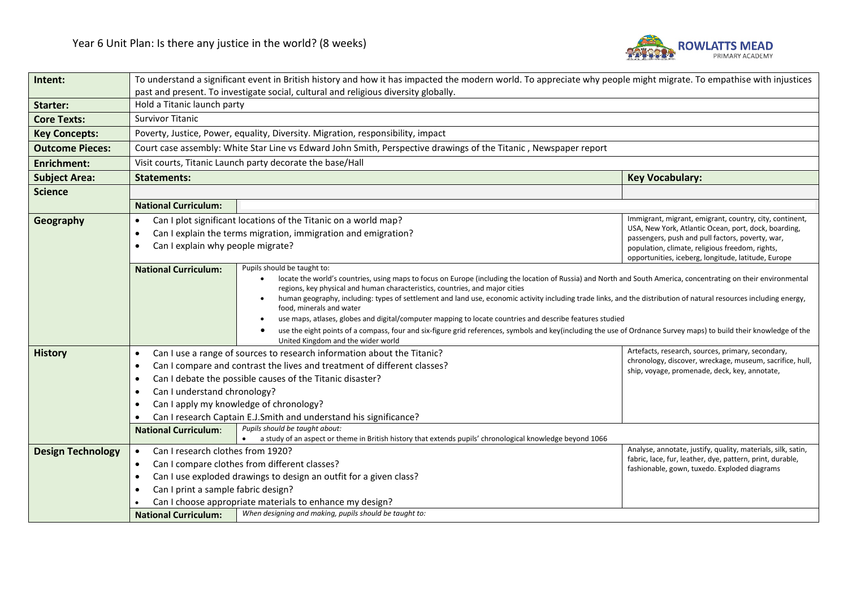

| Intent:                  | To understand a significant event in British history and how it has impacted the modern world. To appreciate why people might migrate. To empathise with injustices |                                                                                                                                                                                                 |                                                                                                               |  |  |
|--------------------------|---------------------------------------------------------------------------------------------------------------------------------------------------------------------|-------------------------------------------------------------------------------------------------------------------------------------------------------------------------------------------------|---------------------------------------------------------------------------------------------------------------|--|--|
|                          | past and present. To investigate social, cultural and religious diversity globally.                                                                                 |                                                                                                                                                                                                 |                                                                                                               |  |  |
| Starter:                 | Hold a Titanic launch party                                                                                                                                         |                                                                                                                                                                                                 |                                                                                                               |  |  |
| <b>Core Texts:</b>       | <b>Survivor Titanic</b>                                                                                                                                             |                                                                                                                                                                                                 |                                                                                                               |  |  |
| <b>Key Concepts:</b>     |                                                                                                                                                                     | Poverty, Justice, Power, equality, Diversity. Migration, responsibility, impact                                                                                                                 |                                                                                                               |  |  |
| <b>Outcome Pieces:</b>   |                                                                                                                                                                     | Court case assembly: White Star Line vs Edward John Smith, Perspective drawings of the Titanic, Newspaper report                                                                                |                                                                                                               |  |  |
| <b>Enrichment:</b>       | Visit courts, Titanic Launch party decorate the base/Hall                                                                                                           |                                                                                                                                                                                                 |                                                                                                               |  |  |
| <b>Subject Area:</b>     | <b>Statements:</b><br><b>Key Vocabulary:</b>                                                                                                                        |                                                                                                                                                                                                 |                                                                                                               |  |  |
| <b>Science</b>           |                                                                                                                                                                     |                                                                                                                                                                                                 |                                                                                                               |  |  |
|                          | <b>National Curriculum:</b>                                                                                                                                         |                                                                                                                                                                                                 |                                                                                                               |  |  |
| Geography                | $\bullet$                                                                                                                                                           | Can I plot significant locations of the Titanic on a world map?                                                                                                                                 | Immigrant, migrant, emigrant, country, city, continent,                                                       |  |  |
|                          | $\bullet$                                                                                                                                                           | Can I explain the terms migration, immigration and emigration?                                                                                                                                  | USA, New York, Atlantic Ocean, port, dock, boarding,<br>passengers, push and pull factors, poverty, war,      |  |  |
|                          | $\bullet$                                                                                                                                                           | Can I explain why people migrate?<br>population, climate, religious freedom, rights,                                                                                                            |                                                                                                               |  |  |
|                          |                                                                                                                                                                     |                                                                                                                                                                                                 | opportunities, iceberg, longitude, latitude, Europe                                                           |  |  |
|                          | <b>National Curriculum:</b>                                                                                                                                         | Pupils should be taught to:<br>locate the world's countries, using maps to focus on Europe (including the location of Russia) and North and South America, concentrating on their environmental |                                                                                                               |  |  |
|                          |                                                                                                                                                                     | regions, key physical and human characteristics, countries, and major cities                                                                                                                    |                                                                                                               |  |  |
|                          |                                                                                                                                                                     | human geography, including: types of settlement and land use, economic activity including trade links, and the distribution of natural resources including energy,                              |                                                                                                               |  |  |
|                          |                                                                                                                                                                     | food, minerals and water<br>use maps, atlases, globes and digital/computer mapping to locate countries and describe features studied                                                            |                                                                                                               |  |  |
|                          |                                                                                                                                                                     | use the eight points of a compass, four and six-figure grid references, symbols and key(including the use of Ordnance Survey maps) to build their knowledge of the                              |                                                                                                               |  |  |
|                          |                                                                                                                                                                     | United Kingdom and the wider world                                                                                                                                                              |                                                                                                               |  |  |
| <b>History</b>           | $\bullet$                                                                                                                                                           | Can I use a range of sources to research information about the Titanic?                                                                                                                         | Artefacts, research, sources, primary, secondary,<br>chronology, discover, wreckage, museum, sacrifice, hull, |  |  |
|                          | $\bullet$                                                                                                                                                           | Can I compare and contrast the lives and treatment of different classes?                                                                                                                        | ship, voyage, promenade, deck, key, annotate,                                                                 |  |  |
|                          | $\bullet$                                                                                                                                                           | Can I debate the possible causes of the Titanic disaster?                                                                                                                                       |                                                                                                               |  |  |
|                          | Can I understand chronology?<br>$\bullet$                                                                                                                           |                                                                                                                                                                                                 |                                                                                                               |  |  |
|                          | Can I apply my knowledge of chronology?<br>$\bullet$                                                                                                                |                                                                                                                                                                                                 |                                                                                                               |  |  |
|                          |                                                                                                                                                                     | Can I research Captain E.J.Smith and understand his significance?                                                                                                                               |                                                                                                               |  |  |
|                          | <b>National Curriculum:</b>                                                                                                                                         | Pupils should be taught about:<br>• a study of an aspect or theme in British history that extends pupils' chronological knowledge beyond 1066                                                   |                                                                                                               |  |  |
| <b>Design Technology</b> | Can I research clothes from 1920?<br>$\bullet$                                                                                                                      |                                                                                                                                                                                                 | Analyse, annotate, justify, quality, materials, silk, satin,                                                  |  |  |
|                          | $\bullet$                                                                                                                                                           | Can I compare clothes from different classes?                                                                                                                                                   | fabric, lace, fur, leather, dye, pattern, print, durable,                                                     |  |  |
|                          | fashionable, gown, tuxedo. Exploded diagrams<br>Can I use exploded drawings to design an outfit for a given class?<br>$\bullet$                                     |                                                                                                                                                                                                 |                                                                                                               |  |  |
|                          |                                                                                                                                                                     | Can I print a sample fabric design?                                                                                                                                                             |                                                                                                               |  |  |
|                          | Can I choose appropriate materials to enhance my design?                                                                                                            |                                                                                                                                                                                                 |                                                                                                               |  |  |
|                          | <b>National Curriculum:</b>                                                                                                                                         | When designing and making, pupils should be taught to:                                                                                                                                          |                                                                                                               |  |  |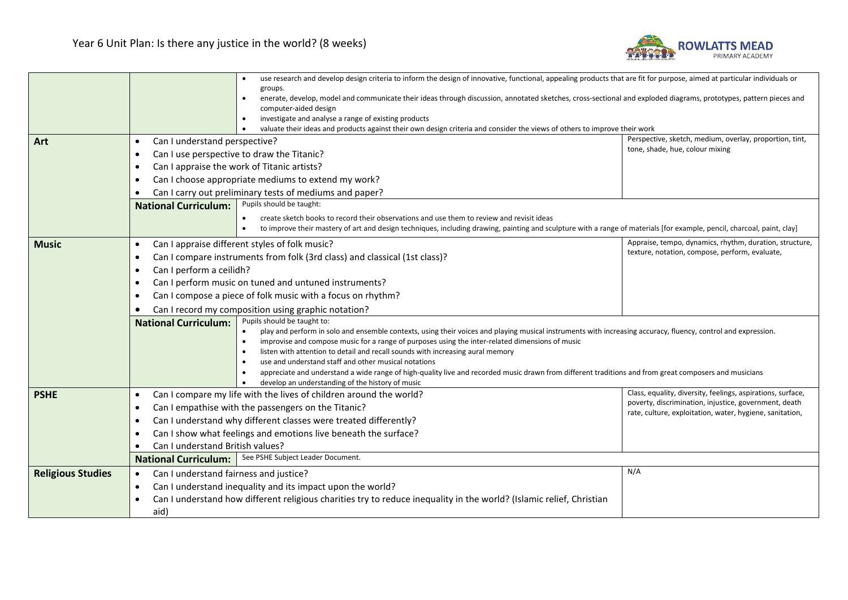

|                                                                          |                                                                                                                                                                                                     | use research and develop design criteria to inform the design of innovative, functional, appealing products that are fit for purpose, aimed at particular individuals or                                                                                                                                                                                                                                                     |                                                                                                                   |  |
|--------------------------------------------------------------------------|-----------------------------------------------------------------------------------------------------------------------------------------------------------------------------------------------------|------------------------------------------------------------------------------------------------------------------------------------------------------------------------------------------------------------------------------------------------------------------------------------------------------------------------------------------------------------------------------------------------------------------------------|-------------------------------------------------------------------------------------------------------------------|--|
|                                                                          |                                                                                                                                                                                                     | groups.                                                                                                                                                                                                                                                                                                                                                                                                                      |                                                                                                                   |  |
|                                                                          |                                                                                                                                                                                                     | enerate, develop, model and communicate their ideas through discussion, annotated sketches, cross-sectional and exploded diagrams, prototypes, pattern pieces and<br>$\bullet$<br>computer-aided design                                                                                                                                                                                                                      |                                                                                                                   |  |
|                                                                          |                                                                                                                                                                                                     | investigate and analyse a range of existing products                                                                                                                                                                                                                                                                                                                                                                         |                                                                                                                   |  |
|                                                                          |                                                                                                                                                                                                     | valuate their ideas and products against their own design criteria and consider the views of others to improve their work<br>$\bullet$                                                                                                                                                                                                                                                                                       |                                                                                                                   |  |
| Art                                                                      | Perspective, sketch, medium, overlay, proportion, tint,<br>Can I understand perspective?<br>$\bullet$<br>tone, shade, hue, colour mixing<br>Can I use perspective to draw the Titanic?<br>$\bullet$ |                                                                                                                                                                                                                                                                                                                                                                                                                              |                                                                                                                   |  |
|                                                                          |                                                                                                                                                                                                     |                                                                                                                                                                                                                                                                                                                                                                                                                              |                                                                                                                   |  |
|                                                                          | $\bullet$                                                                                                                                                                                           | Can I appraise the work of Titanic artists?                                                                                                                                                                                                                                                                                                                                                                                  |                                                                                                                   |  |
|                                                                          | Can I choose appropriate mediums to extend my work?<br>$\bullet$<br>Can I carry out preliminary tests of mediums and paper?<br>$\bullet$                                                            |                                                                                                                                                                                                                                                                                                                                                                                                                              |                                                                                                                   |  |
|                                                                          |                                                                                                                                                                                                     |                                                                                                                                                                                                                                                                                                                                                                                                                              |                                                                                                                   |  |
|                                                                          | Pupils should be taught:<br><b>National Curriculum:</b>                                                                                                                                             |                                                                                                                                                                                                                                                                                                                                                                                                                              |                                                                                                                   |  |
|                                                                          |                                                                                                                                                                                                     | create sketch books to record their observations and use them to review and revisit ideas                                                                                                                                                                                                                                                                                                                                    |                                                                                                                   |  |
|                                                                          |                                                                                                                                                                                                     | to improve their mastery of art and design techniques, including drawing, painting and sculpture with a range of materials [for example, pencil, charcoal, paint, clay]                                                                                                                                                                                                                                                      |                                                                                                                   |  |
| <b>Music</b>                                                             | $\bullet$                                                                                                                                                                                           | Can I appraise different styles of folk music?                                                                                                                                                                                                                                                                                                                                                                               | Appraise, tempo, dynamics, rhythm, duration, structure,                                                           |  |
|                                                                          | $\bullet$                                                                                                                                                                                           | Can I compare instruments from folk (3rd class) and classical (1st class)?                                                                                                                                                                                                                                                                                                                                                   | texture, notation, compose, perform, evaluate,                                                                    |  |
|                                                                          | Can I perform a ceilidh?<br>$\bullet$                                                                                                                                                               |                                                                                                                                                                                                                                                                                                                                                                                                                              |                                                                                                                   |  |
|                                                                          | $\bullet$                                                                                                                                                                                           | Can I perform music on tuned and untuned instruments?                                                                                                                                                                                                                                                                                                                                                                        |                                                                                                                   |  |
| Can I compose a piece of folk music with a focus on rhythm?<br>$\bullet$ |                                                                                                                                                                                                     |                                                                                                                                                                                                                                                                                                                                                                                                                              |                                                                                                                   |  |
|                                                                          | Can I record my composition using graphic notation?                                                                                                                                                 |                                                                                                                                                                                                                                                                                                                                                                                                                              |                                                                                                                   |  |
|                                                                          | <b>National Curriculum:</b>                                                                                                                                                                         | Pupils should be taught to:                                                                                                                                                                                                                                                                                                                                                                                                  |                                                                                                                   |  |
|                                                                          | $\bullet$<br>play and perform in solo and ensemble contexts, using their voices and playing musical instruments with increasing accuracy, fluency, control and expression.                          |                                                                                                                                                                                                                                                                                                                                                                                                                              |                                                                                                                   |  |
|                                                                          |                                                                                                                                                                                                     | improvise and compose music for a range of purposes using the inter-related dimensions of music<br>$\bullet$<br>listen with attention to detail and recall sounds with increasing aural memory<br>use and understand staff and other musical notations<br>appreciate and understand a wide range of high-quality live and recorded music drawn from different traditions and from great composers and musicians<br>$\bullet$ |                                                                                                                   |  |
|                                                                          |                                                                                                                                                                                                     |                                                                                                                                                                                                                                                                                                                                                                                                                              |                                                                                                                   |  |
|                                                                          |                                                                                                                                                                                                     |                                                                                                                                                                                                                                                                                                                                                                                                                              |                                                                                                                   |  |
|                                                                          |                                                                                                                                                                                                     | develop an understanding of the history of music                                                                                                                                                                                                                                                                                                                                                                             |                                                                                                                   |  |
| <b>PSHE</b>                                                              | $\bullet$                                                                                                                                                                                           | Can I compare my life with the lives of children around the world?                                                                                                                                                                                                                                                                                                                                                           | Class, equality, diversity, feelings, aspirations, surface,                                                       |  |
|                                                                          | Can I empathise with the passengers on the Titanic?<br>$\bullet$                                                                                                                                    |                                                                                                                                                                                                                                                                                                                                                                                                                              | poverty, discrimination, injustice, government, death<br>rate, culture, exploitation, water, hygiene, sanitation, |  |
|                                                                          | Can I understand why different classes were treated differently?<br>$\bullet$<br>Can I show what feelings and emotions live beneath the surface?<br>$\bullet$                                       |                                                                                                                                                                                                                                                                                                                                                                                                                              |                                                                                                                   |  |
|                                                                          |                                                                                                                                                                                                     |                                                                                                                                                                                                                                                                                                                                                                                                                              |                                                                                                                   |  |
|                                                                          | Can I understand British values?<br>$\bullet$                                                                                                                                                       |                                                                                                                                                                                                                                                                                                                                                                                                                              |                                                                                                                   |  |
|                                                                          | National Curriculum:   See PSHE Subject Leader Document.                                                                                                                                            |                                                                                                                                                                                                                                                                                                                                                                                                                              |                                                                                                                   |  |
| <b>Religious Studies</b>                                                 | Can I understand fairness and justice?<br>$\bullet$                                                                                                                                                 |                                                                                                                                                                                                                                                                                                                                                                                                                              | N/A                                                                                                               |  |
|                                                                          | $\bullet$                                                                                                                                                                                           | Can I understand inequality and its impact upon the world?                                                                                                                                                                                                                                                                                                                                                                   |                                                                                                                   |  |
|                                                                          | $\bullet$                                                                                                                                                                                           | Can I understand how different religious charities try to reduce inequality in the world? (Islamic relief, Christian                                                                                                                                                                                                                                                                                                         |                                                                                                                   |  |
|                                                                          | aid)                                                                                                                                                                                                |                                                                                                                                                                                                                                                                                                                                                                                                                              |                                                                                                                   |  |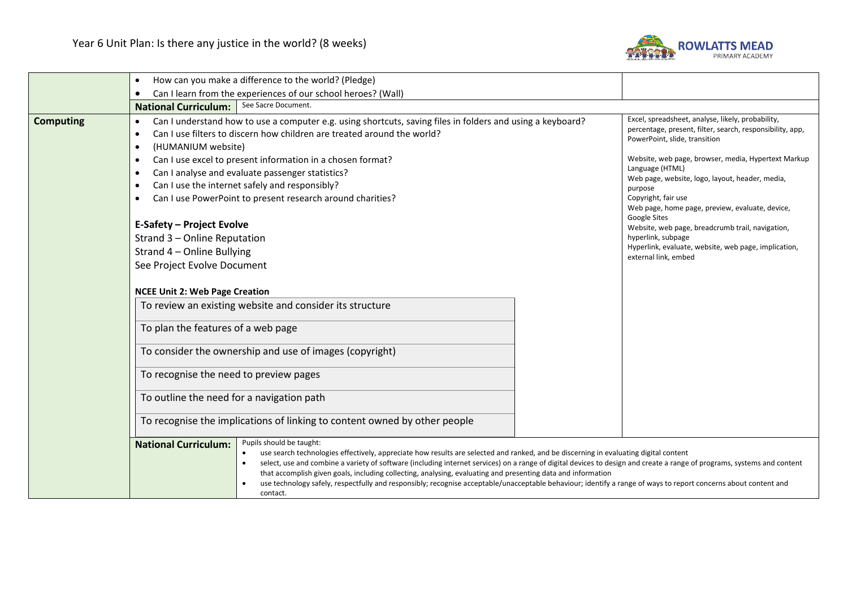

|                  | How can you make a difference to the world? (Pledge)<br>$\bullet$                                                                                                                                                                                                                                                                                                                                                                                                                                                                                                                                                                                                                                                                                                                                                                                                                                                                                                                                            |                                                                                                                                                                                                                                                                                                                                                                                                                                                                                                                                             |  |  |
|------------------|--------------------------------------------------------------------------------------------------------------------------------------------------------------------------------------------------------------------------------------------------------------------------------------------------------------------------------------------------------------------------------------------------------------------------------------------------------------------------------------------------------------------------------------------------------------------------------------------------------------------------------------------------------------------------------------------------------------------------------------------------------------------------------------------------------------------------------------------------------------------------------------------------------------------------------------------------------------------------------------------------------------|---------------------------------------------------------------------------------------------------------------------------------------------------------------------------------------------------------------------------------------------------------------------------------------------------------------------------------------------------------------------------------------------------------------------------------------------------------------------------------------------------------------------------------------------|--|--|
|                  | Can I learn from the experiences of our school heroes? (Wall)                                                                                                                                                                                                                                                                                                                                                                                                                                                                                                                                                                                                                                                                                                                                                                                                                                                                                                                                                |                                                                                                                                                                                                                                                                                                                                                                                                                                                                                                                                             |  |  |
|                  | See Sacre Document.<br><b>National Curriculum:</b>                                                                                                                                                                                                                                                                                                                                                                                                                                                                                                                                                                                                                                                                                                                                                                                                                                                                                                                                                           |                                                                                                                                                                                                                                                                                                                                                                                                                                                                                                                                             |  |  |
| <b>Computing</b> | Can I understand how to use a computer e.g. using shortcuts, saving files in folders and using a keyboard?<br>$\bullet$<br>Can I use filters to discern how children are treated around the world?<br>(HUMANIUM website)<br>$\bullet$<br>Can I use excel to present information in a chosen format?<br>$\bullet$<br>Can I analyse and evaluate passenger statistics?<br>$\bullet$<br>Can I use the internet safely and responsibly?<br>Can I use PowerPoint to present research around charities?<br><b>E-Safety - Project Evolve</b><br>Strand 3 - Online Reputation<br>Strand 4 - Online Bullying<br>See Project Evolve Document<br><b>NCEE Unit 2: Web Page Creation</b><br>To review an existing website and consider its structure<br>To plan the features of a web page<br>To consider the ownership and use of images (copyright)<br>To recognise the need to preview pages<br>To outline the need for a navigation path<br>To recognise the implications of linking to content owned by other people | Excel, spreadsheet, analyse, likely, probability,<br>percentage, present, filter, search, responsibility, app,<br>PowerPoint, slide, transition<br>Website, web page, browser, media, Hypertext Markup<br>Language (HTML)<br>Web page, website, logo, layout, header, media,<br>purpose<br>Copyright, fair use<br>Web page, home page, preview, evaluate, device,<br>Google Sites<br>Website, web page, breadcrumb trail, navigation,<br>hyperlink, subpage<br>Hyperlink, evaluate, website, web page, implication,<br>external link, embed |  |  |
|                  | Pupils should be taught:<br><b>National Curriculum:</b><br>use search technologies effectively, appreciate how results are selected and ranked, and be discerning in evaluating digital content<br>select, use and combine a variety of software (including internet services) on a range of digital devices to design and create a range of programs, systems and content<br>$\bullet$<br>that accomplish given goals, including collecting, analysing, evaluating and presenting data and information<br>use technology safely, respectfully and responsibly; recognise acceptable/unacceptable behaviour; identify a range of ways to report concerns about content and<br>contact.                                                                                                                                                                                                                                                                                                                       |                                                                                                                                                                                                                                                                                                                                                                                                                                                                                                                                             |  |  |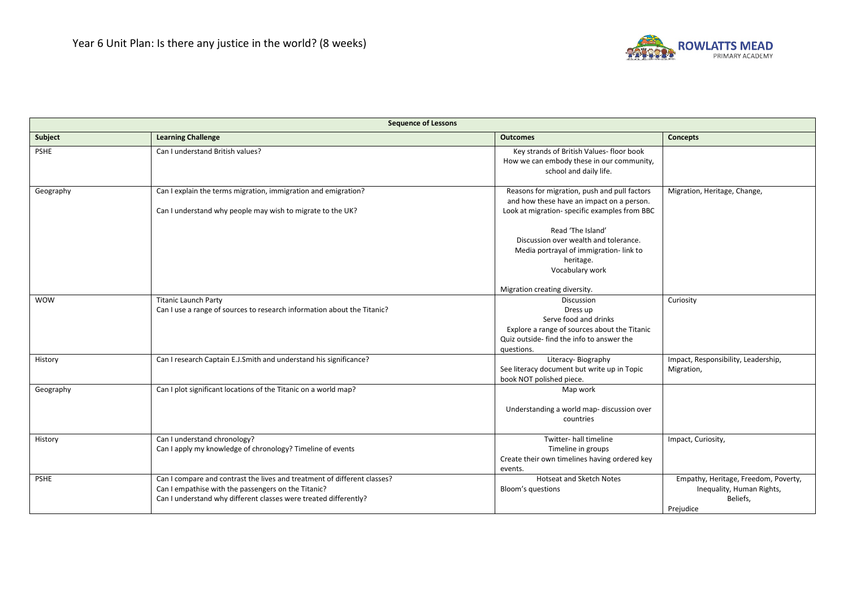

| <b>Sequence of Lessons</b> |                                                                                                                                                                                                     |                                                                                                                                                                                             |                                                                                            |  |
|----------------------------|-----------------------------------------------------------------------------------------------------------------------------------------------------------------------------------------------------|---------------------------------------------------------------------------------------------------------------------------------------------------------------------------------------------|--------------------------------------------------------------------------------------------|--|
| Subject                    | <b>Learning Challenge</b>                                                                                                                                                                           | <b>Outcomes</b>                                                                                                                                                                             | <b>Concepts</b>                                                                            |  |
| <b>PSHE</b>                | Can I understand British values?                                                                                                                                                                    | Key strands of British Values- floor book<br>How we can embody these in our community,<br>school and daily life.                                                                            |                                                                                            |  |
| Geography                  | Can I explain the terms migration, immigration and emigration?<br>Can I understand why people may wish to migrate to the UK?                                                                        | Reasons for migration, push and pull factors<br>and how these have an impact on a person.<br>Look at migration- specific examples from BBC                                                  | Migration, Heritage, Change,                                                               |  |
|                            |                                                                                                                                                                                                     | Read 'The Island'<br>Discussion over wealth and tolerance.<br>Media portrayal of immigration-link to<br>heritage.<br>Vocabulary work                                                        |                                                                                            |  |
| <b>WOW</b>                 | <b>Titanic Launch Party</b><br>Can I use a range of sources to research information about the Titanic?                                                                                              | Migration creating diversity.<br>Discussion<br>Dress up<br>Serve food and drinks<br>Explore a range of sources about the Titanic<br>Quiz outside- find the info to answer the<br>questions. | Curiosity                                                                                  |  |
| History                    | Can I research Captain E.J.Smith and understand his significance?                                                                                                                                   | Literacy-Biography<br>See literacy document but write up in Topic<br>book NOT polished piece.                                                                                               | Impact, Responsibility, Leadership,<br>Migration,                                          |  |
| Geography                  | Can I plot significant locations of the Titanic on a world map?                                                                                                                                     | Map work<br>Understanding a world map- discussion over<br>countries                                                                                                                         |                                                                                            |  |
| History                    | Can I understand chronology?<br>Can I apply my knowledge of chronology? Timeline of events                                                                                                          | Twitter- hall timeline<br>Timeline in groups<br>Create their own timelines having ordered key<br>events.                                                                                    | Impact, Curiosity,                                                                         |  |
| <b>PSHE</b>                | Can I compare and contrast the lives and treatment of different classes?<br>Can I empathise with the passengers on the Titanic?<br>Can I understand why different classes were treated differently? | <b>Hotseat and Sketch Notes</b><br>Bloom's questions                                                                                                                                        | Empathy, Heritage, Freedom, Poverty,<br>Inequality, Human Rights,<br>Beliefs,<br>Prejudice |  |